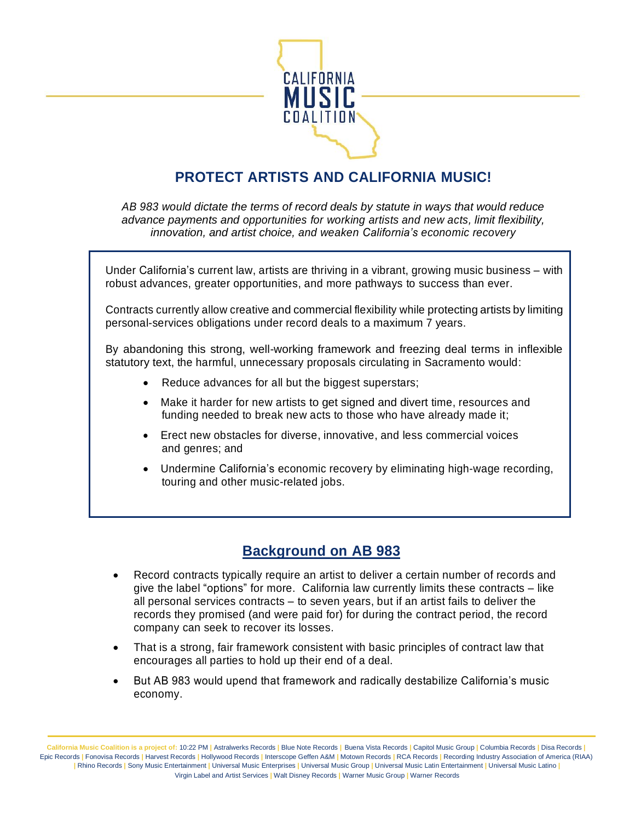

# **PROTECT ARTISTS AND CALIFORNIA MUSIC!**

*AB 983 would dictate the terms of record deals by statute in ways that would reduce advance payments and opportunities for working artists and new acts, limit flexibility, innovation, and artist choice, and weaken California's economic recovery*

Under California's current law, artists are thriving in a vibrant, growing music business – with robust advances, greater opportunities, and more pathways to success than ever.

Contracts currently allow creative and commercial flexibility while protecting artists by limiting personal-services obligations under record deals to a maximum 7 years.

By abandoning this strong, well-working framework and freezing deal terms in inflexible statutory text, the harmful, unnecessary proposals circulating in Sacramento would:

- Reduce advances for all but the biggest superstars;
- Make it harder for new artists to get signed and divert time, resources and funding needed to break new acts to those who have already made it;
- Erect new obstacles for diverse, innovative, and less commercial voices and genres; and
- Undermine California's economic recovery by eliminating high-wage recording, touring and other music-related jobs.

## **Background on AB 983**

- Record contracts typically require an artist to deliver a certain number of records and give the label "options" for more. California law currently limits these contracts – like all personal services contracts – to seven years, but if an artist fails to deliver the records they promised (and were paid for) for during the contract period, the record company can seek to recover its losses.
- That is a strong, fair framework consistent with basic principles of contract law that encourages all parties to hold up their end of a deal.
- But AB 983 would upend that framework and radically destabilize California's music economy.

California Music Coalition is a project of: 10:22 PM | Astralwerks Records | Blue Note Records | Buena Vista Records | Capitol Music Group | Columbia Records | Disa Records | Epic Records **|** Fonovisa Records **|** Harvest Records **|** Hollywood Records **|** Interscope Geffen A&M **|** Motown Records **|** RCA Records **|** Recording Industry Association of America (RIAA) **|** Rhino Records **|** Sony Music Entertainment **|** Universal Music Enterprises **|** Universal Music Group **|** Universal Music Latin Entertainment **|** Universal Music Latino **|** Virgin Label and Artist Services **|** Walt Disney Records **|** Warner Music Group **|** Warner Records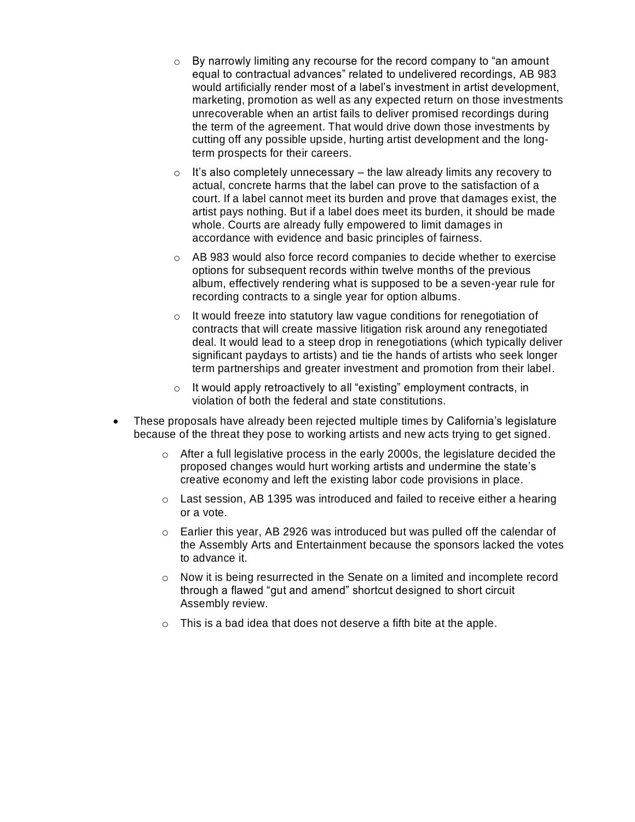- $\circ$  By narrowly limiting any recourse for the record company to "an amount" equal to contractual advances" related to undelivered recordings, AB 983 would artificially render most of a label's investment in artist development, marketing, promotion as well as any expected return on those investments unrecoverable when an artist fails to deliver promised recordings during the term of the agreement. That would drive down those investments by cutting off any possible upside, hurting artist development and the longterm prospects for their careers.
- $\circ$  It's also completely unnecessary the law already limits any recovery to actual, concrete harms that the label can prove to the satisfaction of a court. If a label cannot meet its burden and prove that damages exist, the artist pays nothing. But if a label does meet its burden, it should be made whole. Courts are already fully empowered to limit damages in accordance with evidence and basic principles of fairness.
- o AB 983 would also force record companies to decide whether to exercise options for subsequent records within twelve months of the previous album, effectively rendering what is supposed to be a seven-year rule for recording contracts to a single year for option albums.
- o It would freeze into statutory law vague conditions for renegotiation of contracts that will create massive litigation risk around any renegotiated deal. It would lead to a steep drop in renegotiations (which typically deliver significant paydays to artists) and tie the hands of artists who seek longer term partnerships and greater investment and promotion from their label.
- o It would apply retroactively to all "existing" employment contracts, in violation of both the federal and state constitutions.
- These proposals have already been rejected multiple times by California's legislature because of the threat they pose to working artists and new acts trying to get signed.
	- $\circ$  After a full legislative process in the early 2000s, the legislature decided the proposed changes would hurt working artists and undermine the state's creative economy and left the existing labor code provisions in place.
	- $\circ$  Last session, AB 1395 was introduced and failed to receive either a hearing or a vote.
	- $\circ$  Earlier this year, AB 2926 was introduced but was pulled off the calendar of the Assembly Arts and Entertainment because the sponsors lacked the votes to advance it.
	- $\circ$  Now it is being resurrected in the Senate on a limited and incomplete record through a flawed "gut and amend" shortcut designed to short circuit Assembly review.
	- $\circ$  This is a bad idea that does not deserve a fifth bite at the apple.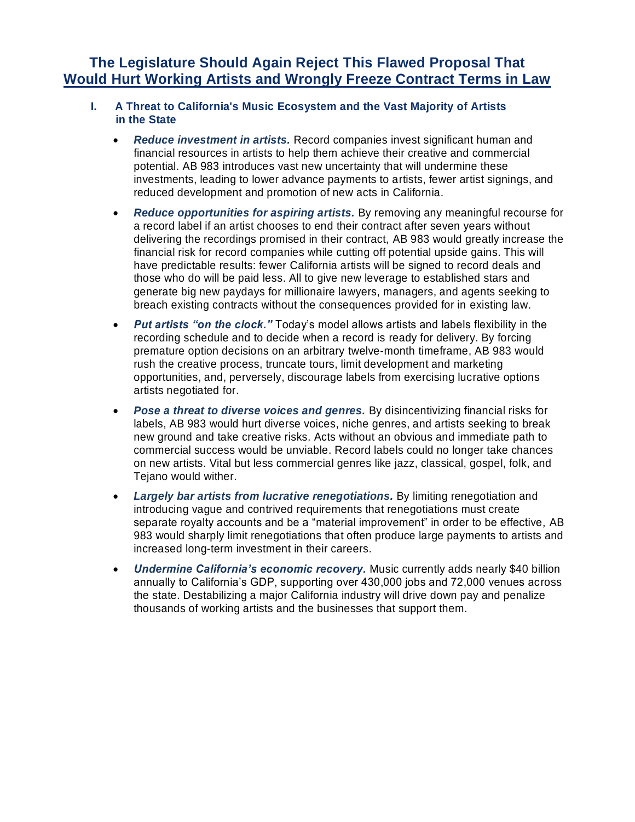### **The Legislature Should Again Reject This Flawed Proposal That Would Hurt Working Artists and Wrongly Freeze Contract Terms in Law**

#### **I. A Threat to California's Music Ecosystem and the Vast Majority of Artists in the State**

- *Reduce investment in artists.* Record companies invest significant human and financial resources in artists to help them achieve their creative and commercial potential. AB 983 introduces vast new uncertainty that will undermine these investments, leading to lower advance payments to artists, fewer artist signings, and reduced development and promotion of new acts in California.
- *Reduce opportunities for aspiring artists.* By removing any meaningful recourse for a record label if an artist chooses to end their contract after seven years without delivering the recordings promised in their contract, AB 983 would greatly increase the financial risk for record companies while cutting off potential upside gains. This will have predictable results: fewer California artists will be signed to record deals and those who do will be paid less. All to give new leverage to established stars and generate big new paydays for millionaire lawyers, managers, and agents seeking to breach existing contracts without the consequences provided for in existing law.
- *Put artists "on the clock."* Today's model allows artists and labels flexibility in the recording schedule and to decide when a record is ready for delivery. By forcing premature option decisions on an arbitrary twelve-month timeframe, AB 983 would rush the creative process, truncate tours, limit development and marketing opportunities, and, perversely, discourage labels from exercising lucrative options artists negotiated for.
- *Pose a threat to diverse voices and genres.* By disincentivizing financial risks for labels, AB 983 would hurt diverse voices, niche genres, and artists seeking to break new ground and take creative risks. Acts without an obvious and immediate path to commercial success would be unviable. Record labels could no longer take chances on new artists. Vital but less commercial genres like jazz, classical, gospel, folk, and Tejano would wither.
- *Largely bar artists from lucrative renegotiations.* By limiting renegotiation and introducing vague and contrived requirements that renegotiations must create separate royalty accounts and be a "material improvement" in order to be effective, AB 983 would sharply limit renegotiations that often produce large payments to artists and increased long-term investment in their careers.
- *Undermine California's economic recovery.* Music currently adds nearly \$40 billion annually to California's GDP, supporting over 430,000 jobs and 72,000 venues across the state. Destabilizing a major California industry will drive down pay and penalize thousands of working artists and the businesses that support them.